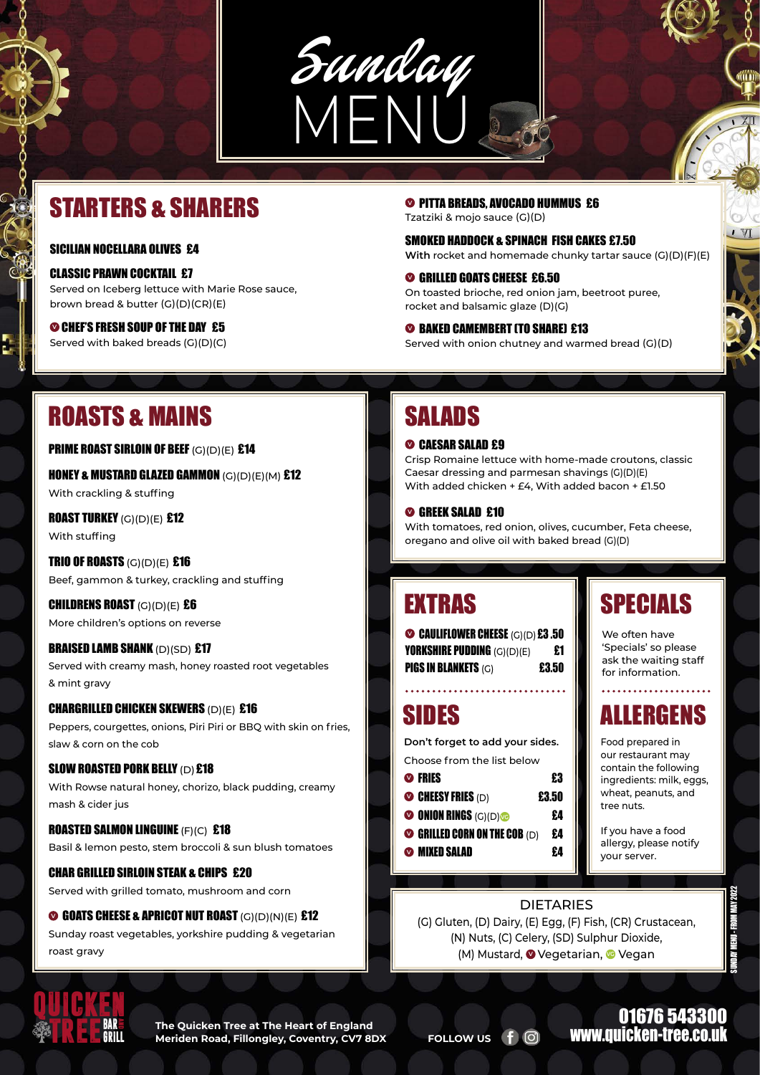#### SICILIAN NOCELLARA OLIVES £4

CLASSIC PRAWN COCKTAIL £7 Served on Iceberg lettuce with Marie Rose sauce, brown bread & butter (G)(D)(CR)(E)

### 01676 543300 www.quicken-tree.co

**<sup>V</sup>**CHEF'S FRESH SOUP OF THE DAY£5 Served with baked breads (G)(D)(C)

**Don't forget to add your sides.**

| $\triangledown$ Fries      | £3    |
|----------------------------|-------|
| $\bullet$ cheesy fries (d) | £3.50 |

HONEY & MUSTARD GLAZED GAMMON  $(G)(D)(E)(M)$  £12 With crackling & stuffing

**ROAST TURKEY** (G)(D)(E) £12 With stuffing

**TRIO OF ROASTS**  $(G)(D)(E)$  £16 Beef, gammon & turkey, crackling and stuffing Crisp Romaine lettuce with home-made croutons, classic Caesar dressing and parmesan shavings (G)(D)(E) With added chicken + £4, With added bacon + £1.50

#### **<sup>V</sup>**GREEK SALAD £10

With tomatoes, red onion, olives, cucumber, Feta cheese, oregano and olive oil with baked bread (G)(D)

QUICKEN **TREEBAR** GRILLand

**O** GOATS CHEESE & APRICOT NUT ROAST (G)(D)(N)(E) £12 Sunday roast vegetables, yorkshire pudding & vegetarian roast gravy

CHILDRENS ROAST (G)(D)(E) £6 More children's options on reverse

### **BRAISED LAMB SHANK (D)(SD) £17**

| <b>WE UNIUN RINGS</b> $(G)(D)$<br>£4<br>$\bullet$ Grilled corn on the COB (D)<br>£4<br><b>MIXED SALAD</b><br>£4 |  | If you have a food<br>allergy, please notify<br>your server. |  |
|-----------------------------------------------------------------------------------------------------------------|--|--------------------------------------------------------------|--|
|                                                                                                                 |  |                                                              |  |
| <b>DIETARIES</b>                                                                                                |  |                                                              |  |
| (G) Gluten, (D) Dairy, (E) Egg, (F) Fish, (CR) Crustacean,                                                      |  |                                                              |  |
| (N) Nuts, (C) Celery, (SD) Sulphur Dioxide,                                                                     |  |                                                              |  |
| (M) Mustard, OVegetarian, OVegan                                                                                |  |                                                              |  |
|                                                                                                                 |  |                                                              |  |
|                                                                                                                 |  |                                                              |  |
|                                                                                                                 |  | $\cdot$ $\cdot$                                              |  |

**The Quicken Tree at The Heart of England Meriden Road, Fillongley, Coventry, CV7 8DX FOLLOW US f**  $\odot$ 

Served with creamy mash, honey roasted root vegetables & mint gravy

#### CHARGRILLED CHICKEN SKEWERS (D)(E) £16

**<sup>** $\odot$ **</sup> PITTA BREADS, AVOCADO HUMMUS £6** Tzatziki & mojo sauce (G)(D)

Peppers, courgettes, onions, Piri Piri or BBQ with skin on fries, slaw & corn on the cob

#### SLOW ROASTED PORK BELLY (D) £18

With Rowse natural honey, chorizo, black pudding, creamy mash & cider jus

#### **<sup>2</sup>** CAESAR SALAD £9

#### ROASTED SALMON LINGUINE (F)(C)£18

Basil & lemon pesto, stem broccoli & sun blush tomatoes

#### CHAR GRILLED SIRLOIN STEAK & CHIPS£20

Served with grilled tomato, mushroom and corn

## STARTERS & SHARERS

## SIDES

We often have 'Specials' so please ask the waiting staff for information.

## SPECIALS

Food prepared in our restaurant may contain the following ingredients: milk, eggs, wheat, peanuts, and tree nuts.

## ALLERGENS



SMOKED HADDOCK & SPINACH FISH CAKES £7.50 **With** rocket and homemade chunky tartar sauce (G)(D)(F)(E)

- **<sup>V</sup>**GRILLED GOATS CHEESE £6.50 On toasted brioche, red onion jam, beetroot puree, rocket and balsamic glaze (D)(G)
- **<sup>O</sup>BAKED CAMEMBERT (TO SHARE) £13** Served with onion chutney and warmed bread (G)(D)

## ROASTS & MAINS SALADS

PRIME ROAST SIRLOIN OF BEEF (G)(D)(E) £14

# EXTRAS

**CAULIFLOWER CHEESE** (G)(D) £3.50 **YORKSHIRE PUDDING**  $(G)(D)(E)$  **£1 PIGS IN BLANKETS**  $(G)$  **£3.50** 

SUNDAY MENU - FROM MAY 2022

 $\mathbb{W}$